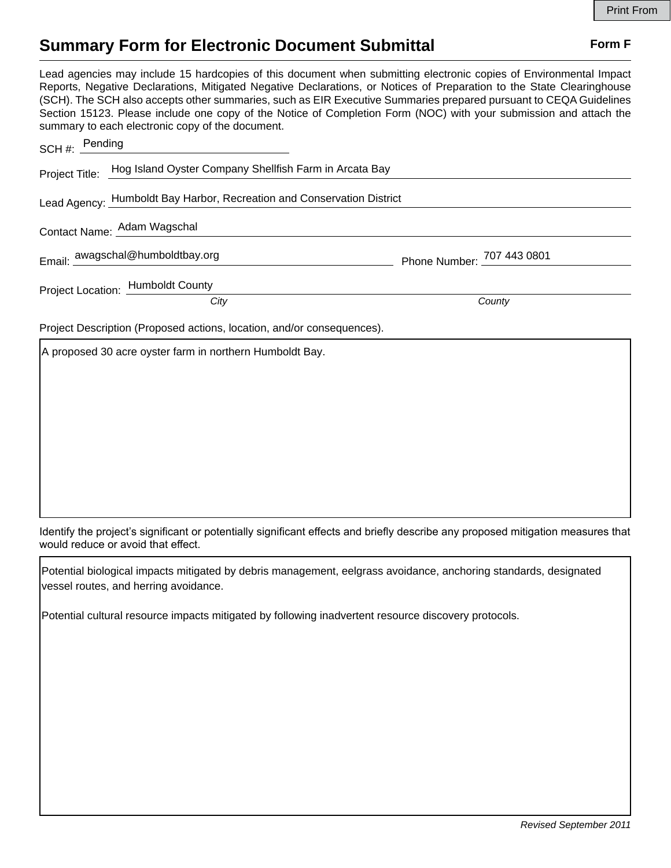## **Summary Form for Electronic Document Submittal Form F Form F**

Lead agencies may include 15 hardcopies of this document when submitting electronic copies of Environmental Impact Reports, Negative Declarations, Mitigated Negative Declarations, or Notices of Preparation to the State Clearinghouse (SCH). The SCH also accepts other summaries, such as EIR Executive Summaries prepared pursuant to CEQA Guidelines Section 15123. Please include one copy of the Notice of Completion Form (NOC) with your submission and attach the summary to each electronic copy of the document.

| SCH #: $Pending$                                                       |                                   |                            |
|------------------------------------------------------------------------|-----------------------------------|----------------------------|
| Project Title: Hog Island Oyster Company Shellfish Farm in Arcata Bay  |                                   |                            |
| Lead Agency: Humboldt Bay Harbor, Recreation and Conservation District |                                   |                            |
| Contact Name: Adam Wagschal                                            |                                   |                            |
|                                                                        | Email: awagschal@humboldtbay.org  | Phone Number: 707 443 0801 |
|                                                                        | Project Location: Humboldt County |                            |
|                                                                        | City                              | County                     |
| Project Description (Proposed actions, location, and/or consequences). |                                   |                            |

A proposed 30 acre oyster farm in northern Humboldt Bay.

Identify the project's significant or potentially significant effects and briefly describe any proposed mitigation measures that would reduce or avoid that effect.

Potential biological impacts mitigated by debris management, eelgrass avoidance, anchoring standards, designated vessel routes, and herring avoidance.

Potential cultural resource impacts mitigated by following inadvertent resource discovery protocols.